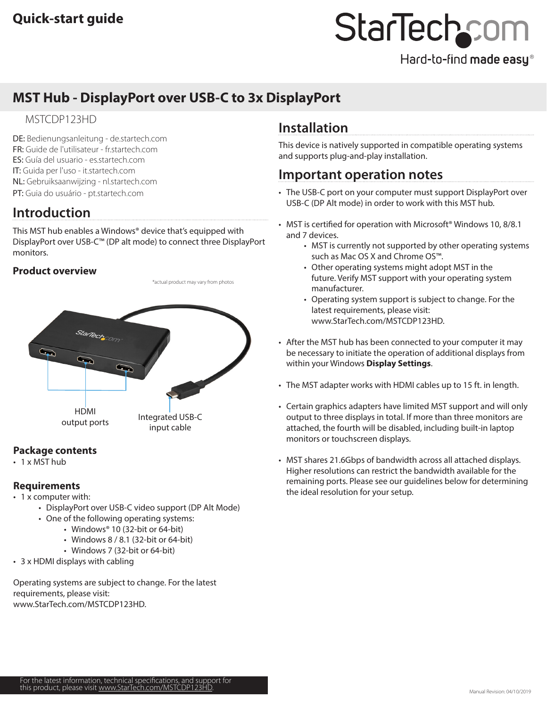# **MST Hub - DisplayPort over USB-C to 3x DisplayPort**

## MSTCDP123HD

DE: Bedienungsanleitung - de.startech.com FR: Guide de l'utilisateur - fr.startech.com ES: Guía del usuario - es.startech.com IT: Guida per l'uso - it.startech.com NL: Gebruiksaanwijzing - nl.startech.com PT: Guia do usuário - pt.startech.com

# **Introduction**

This MST hub enables a Windows® device that's equipped with DisplayPort over USB-C™ (DP alt mode) to connect three DisplayPort monitors.

## **Product overview**

\*actual product may vary from photos



## **Package contents**

 $\cdot$  1 x MST hub

### **Requirements**

- 1 x computer with:
	- DisplayPort over USB-C video support (DP Alt Mode)
	- One of the following operating systems:
		- Windows® 10 (32-bit or 64-bit)
		- Windows 8 / 8.1 (32-bit or 64-bit)
		- Windows 7 (32-bit or 64-bit)
- 3 x HDMI displays with cabling

Operating systems are subject to change. For the latest requirements, please visit: [www.StarTech.com/MSTCDP123](http://www.startech.com/MSTCDP123HD)HD.

# **Installation**

This device is natively supported in compatible operating systems and supports plug-and-play installation.

## **Important operation notes**

- The USB-C port on your computer must support DisplayPort over USB-C (DP Alt mode) in order to work with this MST hub.
- MST is certified for operation with Microsoft<sup>®</sup> Windows 10, 8/8.1 and 7 devices.
	- MST is currently not supported by other operating systems such as Mac OS X and Chrome OS™.
	- Other operating systems might adopt MST in the future. Verify MST support with your operating system manufacturer.
	- Operating system support is subject to change. For the latest requirements, please visit: [www.StarTech.com/MSTCDP123](http://www.startech.com/MSTCDP123HD)HD.
- After the MST hub has been connected to your computer it may be necessary to initiate the operation of additional displays from within your Windows **Display Settings**.
- The MST adapter works with HDMI cables up to 15 ft. in length.
- Certain graphics adapters have limited MST support and will only output to three displays in total. If more than three monitors are attached, the fourth will be disabled, including built-in laptop monitors or touchscreen displays.
- MST shares 21.6Gbps of bandwidth across all attached displays. Higher resolutions can restrict the bandwidth available for the remaining ports. Please see our guidelines below for determining the ideal resolution for your setup.